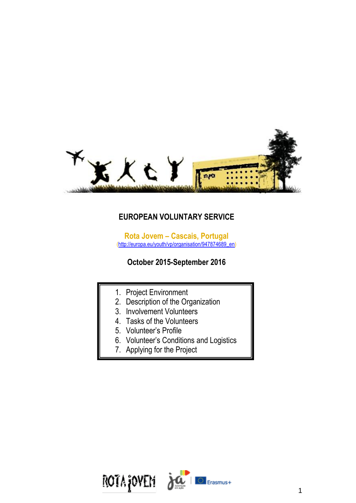

# **EUROPEAN VOLUNTARY SERVICE**

**Rota Jovem – Cascais, Portugal**  [\(http://europa.eu/youth/vp/organisation/947874689\\_en\)](http://europa.eu/youth/vp/organisation/947874689_en)

# **October 2015-September 2016**

- 1. Project Environment
- 2. Description of the Organization
- 3. Involvement Volunteers
- 4. Tasks of the Volunteers
- 5. Volunteer's Profile
- 6. Volunteer's Conditions and Logistics
- 7. Applying for the Project

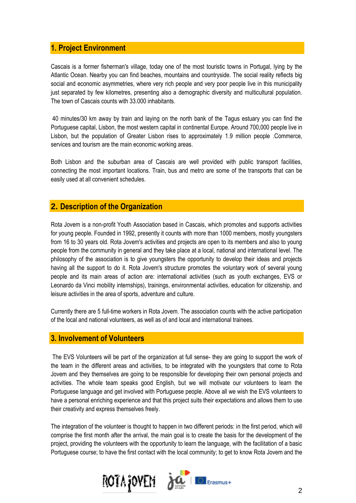## **1. Project Environment**

Cascais is a former fisherman's village, today one of the most touristic towns in Portugal, lying by the Atlantic Ocean. Nearby you can find beaches, mountains and countryside. The social reality reflects big social and economic asymmetries, where very rich people and very poor people live in this municipality just separated by few kilometres, presenting also a demographic diversity and multicultural population. The town of Cascais counts with 33.000 inhabitants.

40 minutes/30 km away by train and laying on the north bank of the Tagus estuary you can find the Portuguese capital, Lisbon, the most western capital in continental Europe. Around 700,000 people live in Lisbon, but the population of Greater Lisbon rises to approximately 1.9 million people .Commerce, services and tourism are the main economic working areas.

Both Lisbon and the suburban area of Cascais are well provided with public transport facilities, connecting the most important locations. Train, bus and metro are some of the transports that can be easily used at all convenient schedules.

## **2. Description of the Organization**

Rota Jovem is a non-profit Youth Association based in Cascais, which promotes and supports activities for young people. Founded in 1992, presently it counts with more than 1000 members, mostly youngsters from 16 to 30 years old. Rota Jovem's activities and projects are open to its members and also to young people from the community in general and they take place at a local, national and international level. The philosophy of the association is to give youngsters the opportunity to develop their ideas and projects having all the support to do it. Rota Jovem's structure promotes the voluntary work of several young people and its main areas of action are: international activities (such as youth exchanges, EVS or Leonardo da Vinci mobility internships), trainings, environmental activities, education for citizenship, and leisure activities in the area of sports, adventure and culture.

Currently there are 5 full-time workers in Rota Jovem. The association counts with the active participation of the local and national volunteers, as well as of and local and international trainees.

### **3. Involvement of Volunteers**

The EVS Volunteers will be part of the organization at full sense- they are going to support the work of the team in the different areas and activities, to be integrated with the youngsters that come to Rota Jovem and they themselves are going to be responsible for developing their own personal projects and activities. The whole team speaks good English, but we will motivate our volunteers to learn the Portuguese language and get involved with Portuguese people. Above all we wish the EVS volunteers to have a personal enriching experience and that this project suits their expectations and allows them to use their creativity and express themselves freely.

The integration of the volunteer is thought to happen in two different periods: in the first period, which will comprise the first month after the arrival, the main goal is to create the basis for the development of the project, providing the volunteers with the opportunity to learn the language, with the facilitation of a basic Portuguese course; to have the first contact with the local community; to get to know Rota Jovem and the

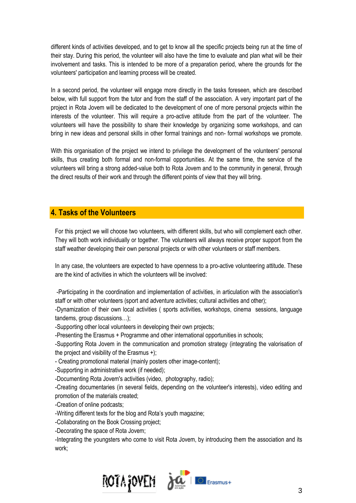different kinds of activities developed, and to get to know all the specific projects being run at the time of their stay. During this period, the volunteer will also have the time to evaluate and plan what will be their involvement and tasks. This is intended to be more of a preparation period, where the grounds for the volunteers' participation and learning process will be created.

In a second period, the volunteer will engage more directly in the tasks foreseen, which are described below, with full support from the tutor and from the staff of the association. A very important part of the project in Rota Jovem will be dedicated to the development of one of more personal projects within the interests of the volunteer. This will require a pro-active attitude from the part of the volunteer. The volunteers will have the possibility to share their knowledge by organizing some workshops, and can bring in new ideas and personal skills in other formal trainings and non- formal workshops we promote.

With this organisation of the project we intend to privilege the development of the volunteers' personal skills, thus creating both formal and non-formal opportunities. At the same time, the service of the volunteers will bring a strong added-value both to Rota Jovem and to the community in general, through the direct results of their work and through the different points of view that they will bring.

## **4. Tasks of the Volunteers**

For this project we will choose two volunteers, with different skills, but who will complement each other. They will both work individually or together. The volunteers will always receive proper support from the staff weather developing their own personal projects or with other volunteers or staff members.

In any case, the volunteers are expected to have openness to a pro-active volunteering attitude. These are the kind of activities in which the volunteers will be involved:

-Participating in the coordination and implementation of activities, in articulation with the association's staff or with other volunteers (sport and adventure activities; cultural activities and other);

-Dynamization of their own local activities ( sports activities, workshops, cinema sessions, language tandems, group discussions…);

-Supporting other local volunteers in developing their own projects;

-Presenting the Erasmus + Programme and other international opportunities in schools;

-Supporting Rota Jovem in the communication and promotion strategy (integrating the valorisation of the project and visibility of the Erasmus +);

- Creating promotional material (mainly posters other image-content);

-Supporting in administrative work (if needed);

-Documenting Rota Jovem's activities (video, photography, radio);

-Creating documentaries (in several fields, depending on the volunteer's interests), video editing and promotion of the materials created;

-Creation of online podcasts;

-Writing different texts for the blog and Rota's youth magazine;

-Collaborating on the Book Crossing project;

-Decorating the space of Rota Jovem;

-Integrating the youngsters who come to visit Rota Jovem, by introducing them the association and its work;

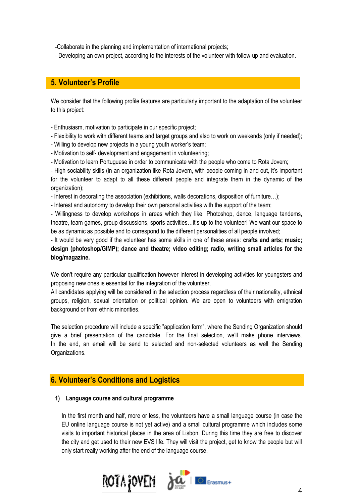-Collaborate in the planning and implementation of international projects;

- Developing an own project, according to the interests of the volunteer with follow-up and evaluation.

## **5. Volunteer's Profile**

We consider that the following profile features are particularly important to the adaptation of the volunteer to this project:

- Enthusiasm, motivation to participate in our specific project;

- Flexibility to work with different teams and target groups and also to work on weekends (only if needed);

- Willing to develop new projects in a young youth worker's team;
- Motivation to self- development and engagement in volunteering;
- Motivation to learn Portuguese in order to communicate with the people who come to Rota Jovem;

- High sociability skills (in an organization like Rota Jovem, with people coming in and out, it's important for the volunteer to adapt to all these different people and integrate them in the dynamic of the organization);

- Interest in decorating the association (exhibitions, walls decorations, disposition of furniture…);

- Interest and autonomy to develop their own personal activities with the support of the team;

- Willingness to develop workshops in areas which they like: Photoshop, dance, language tandems, theatre, team games, group discussions, sports activities…it's up to the volunteer! We want our space to be as dynamic as possible and to correspond to the different personalities of all people involved;

- It would be very good if the volunteer has some skills in one of these areas: **crafts and arts; music; design (photoshop/GIMP); dance and theatre; video editing; radio, writing small articles for the blog/magazine.**

We don't require any particular qualification however interest in developing activities for youngsters and proposing new ones is essential for the integration of the volunteer.

All candidates applying will be considered in the selection process regardless of their nationality, ethnical groups, religion, sexual orientation or political opinion. We are open to volunteers with emigration background or from ethnic minorities.

The selection procedure will include a specific "application form", where the Sending Organization should give a brief presentation of the candidate. For the final selection, we'll make phone interviews. In the end, an email will be send to selected and non-selected volunteers as well the Sending Organizations.

## **6. Volunteer's Conditions and Logistics**

#### **1) Language course and cultural programme**

In the first month and half, more or less, the volunteers have a small language course (in case the EU online language course is not yet active) and a small cultural programme which includes some visits to important historical places in the area of Lisbon. During this time they are free to discover the city and get used to their new EVS life. They will visit the project, get to know the people but will only start really working after the end of the language course.

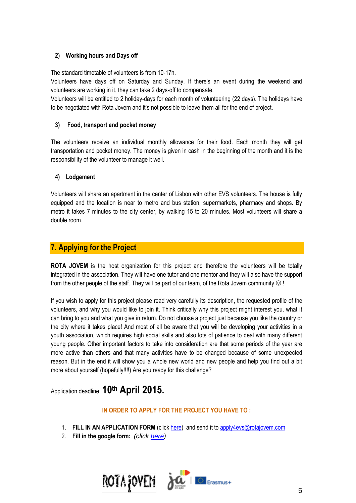### **2) Working hours and Days off**

The standard timetable of volunteers is from 10-17h.

Volunteers have days off on Saturday and Sunday. If there's an event during the weekend and volunteers are working in it, they can take 2 days-off to compensate.

Volunteers will be entitled to 2 holiday-days for each month of volunteering (22 days). The holidays have to be negotiated with Rota Jovem and it's not possible to leave them all for the end of project.

### **3) Food, transport and pocket money**

The volunteers receive an individual monthly allowance for their food. Each month they will get transportation and pocket money. The money is given in cash in the beginning of the month and it is the responsibility of the volunteer to manage it well.

### **4) Lodgement**

Volunteers will share an apartment in the center of Lisbon with other EVS volunteers. The house is fully equipped and the location is near to metro and bus station, supermarkets, pharmacy and shops. By metro it takes 7 minutes to the city center, by walking 15 to 20 minutes. Most volunteers will share a double room.

# **7. Applying for the Project**

**ROTA JOVEM** is the host organization for this project and therefore the volunteers will be totally integrated in the association. They will have one tutor and one mentor and they will also have the support from the other people of the staff. They will be part of our team, of the Rota Jovem community  $\odot$ !

If you wish to apply for this project please read very carefully its description, the requested profile of the volunteers, and why you would like to join it. Think critically why this project might interest you, what it can bring to you and what you give in return. Do not choose a project just because you like the country or the city where it takes place! And most of all be aware that you will be developing your activities in a youth association, which requires high social skills and also lots of patience to deal with many different young people. Other important factors to take into consideration are that some periods of the year are more active than others and that many activities have to be changed because of some unexpected reason. But in the end it will show you a whole new world and new people and help you find out a bit more about yourself (hopefully!!!!) Are you ready for this challenge?

Application deadline: **10th April 2015.** 

### I**N ORDER TO APPLY FOR THE PROJECT YOU HAVE TO :**

- 1. **FILL IN AN APPLICATION FORM** (clic[k here\)](https://drive.google.com/file/d/0Bw2ajrpxxwtNUnNSM0xKNGpVWE0/view?usp=sharing) and send it to [apply4evs@rotajovem.com](mailto:apply4evs@rotajovem.com)
- 2. **Fill in the google form:** *(click [here\)](http://goo.gl/forms/xTq6TCnXWs)*